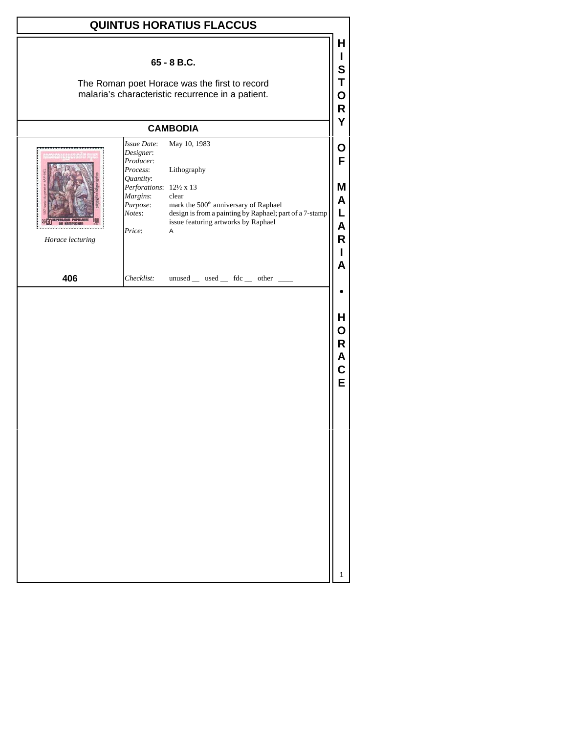| <b>QUINTUS HORATIUS FLACCUS</b> |                                                                                                                                        |                                                                                                                                                                                                  |                                      |  |
|---------------------------------|----------------------------------------------------------------------------------------------------------------------------------------|--------------------------------------------------------------------------------------------------------------------------------------------------------------------------------------------------|--------------------------------------|--|
|                                 |                                                                                                                                        | 65 - 8 B.C.<br>The Roman poet Horace was the first to record<br>malaria's characteristic recurrence in a patient.                                                                                | H<br>Н<br>S<br>Τ<br>O<br>R           |  |
|                                 |                                                                                                                                        | <b>CAMBODIA</b>                                                                                                                                                                                  | Y                                    |  |
| Horace lecturing                | Issue Date:<br>Designer:<br>Producer:<br>Process:<br>Quantity:<br>Perforations: 121/2 x 13<br>Margins:<br>Purpose:<br>Notes:<br>Price: | May 10, 1983<br>Lithography<br>clear<br>mark the 500 <sup>th</sup> anniversary of Raphael<br>design is from a painting by Raphael; part of a 7-stamp<br>issue featuring artworks by Raphael<br>Α | O<br>F<br>Μ<br>A<br>L<br>A<br>R<br>A |  |
| 406                             | Checklist:                                                                                                                             | unused _ used _ fdc _ other _                                                                                                                                                                    |                                      |  |
|                                 |                                                                                                                                        |                                                                                                                                                                                                  | H<br>O<br>R<br>Α<br>C<br>E           |  |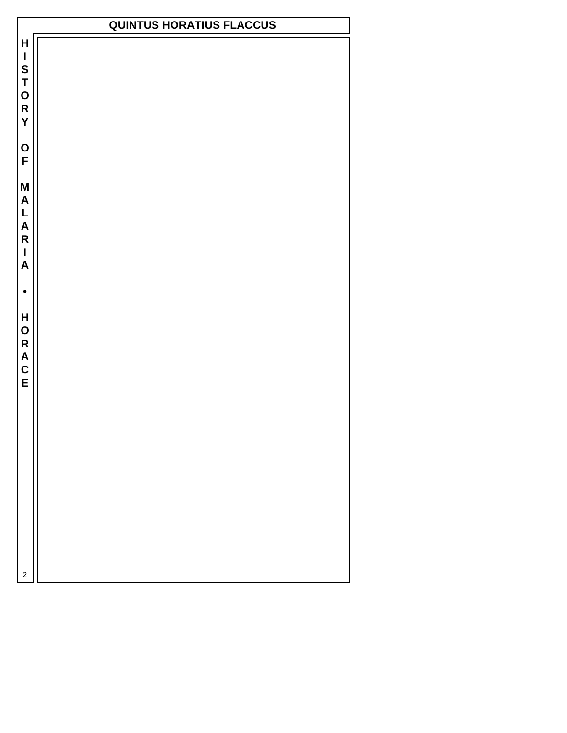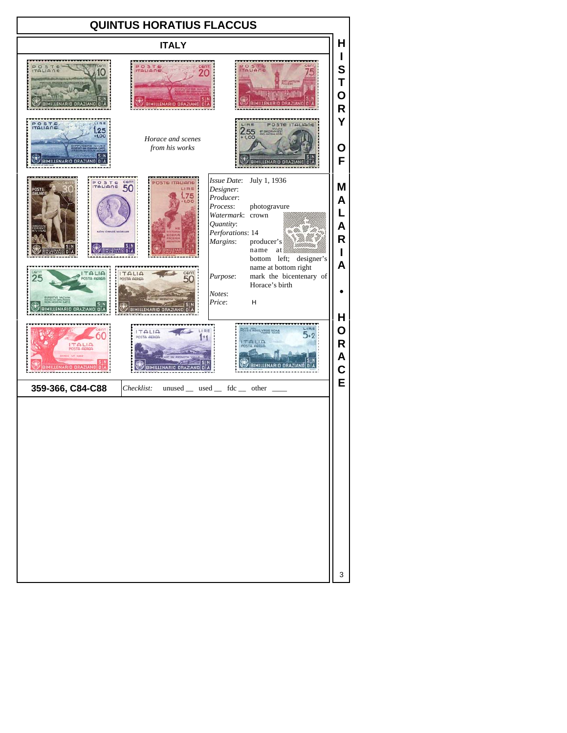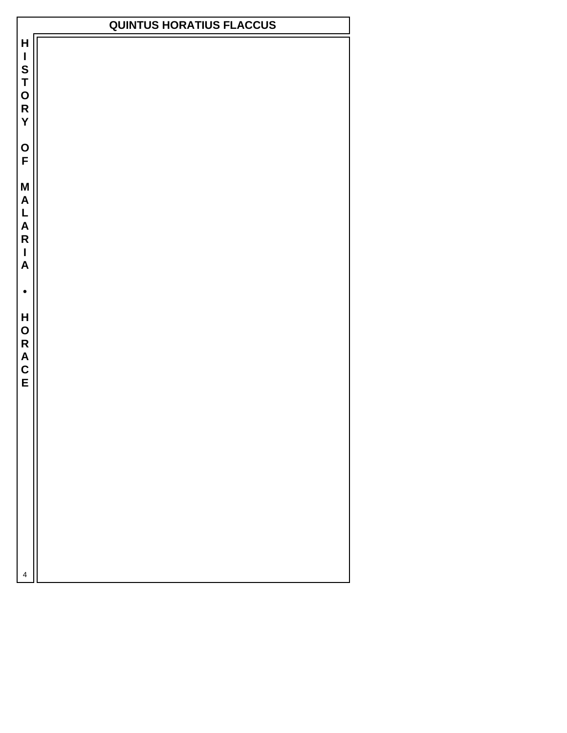$\mathsf{H}$  $\mathbf{I}$ S<br>T<br>O<br>R Y O<br>F M  $\mathsf{A}$  $L$ <br>A  $\overline{\mathsf{R}}$  $\overline{1}$  $\overline{\mathsf{A}}$  $\bullet$ HORACE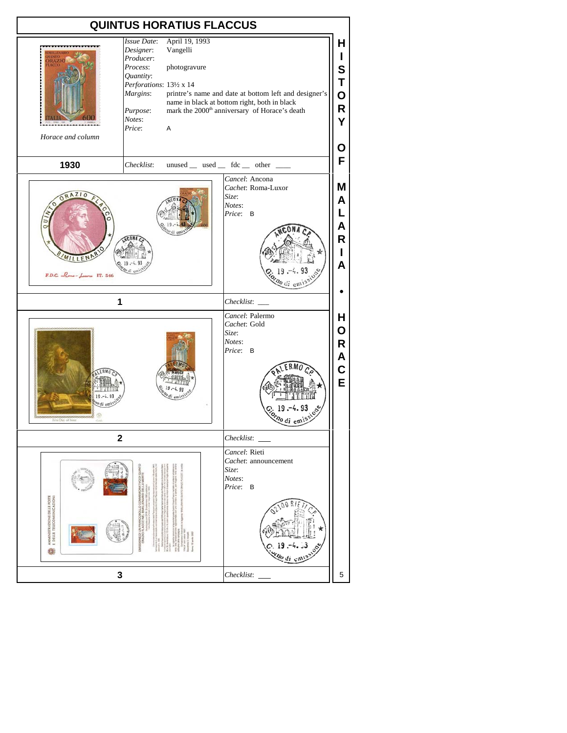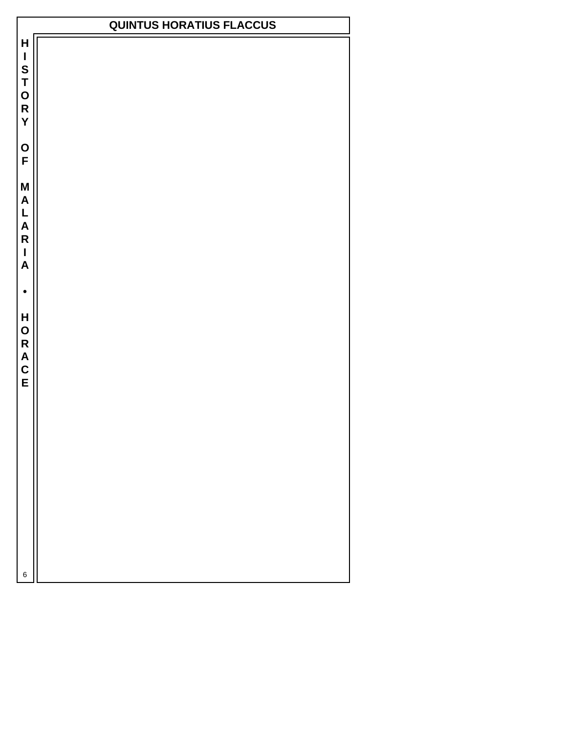$\mathsf{H}$  $\mathbf{I}$ S<br>T<br>O<br>R Y O<br>F M  $\mathsf{A}$  $L$ <br>A  $\overline{\mathsf{R}}$  $\overline{1}$  $\overline{\mathsf{A}}$  $\bullet$ HORACE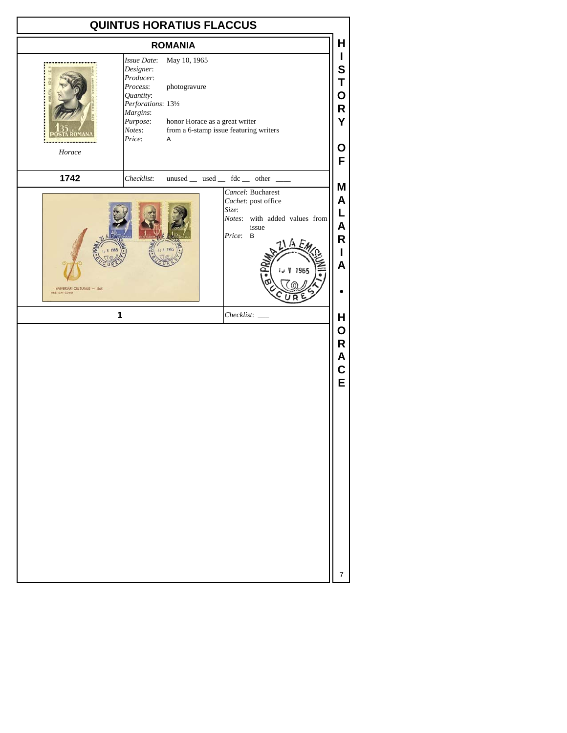|                                                            |                                                                                                                                   | <b>QUINTUS HORATIUS FLACCUS</b>                                     |                                                                                                                       |                                                               |
|------------------------------------------------------------|-----------------------------------------------------------------------------------------------------------------------------------|---------------------------------------------------------------------|-----------------------------------------------------------------------------------------------------------------------|---------------------------------------------------------------|
|                                                            |                                                                                                                                   | <b>ROMANIA</b>                                                      |                                                                                                                       | Н                                                             |
| Horace                                                     | Issue Date:<br>Designer:<br>Producer:<br>Process:<br>Quantity:<br>Perforations: 131/2<br>Margins:<br>Purpose:<br>Notes:<br>Price: | May 10, 1965<br>photogravure<br>honor Horace as a great writer<br>Α | from a 6-stamp issue featuring writers                                                                                | T<br>S<br>Τ<br>Ο<br>R<br>Y<br>О<br>F                          |
| 1742                                                       | Checklist:                                                                                                                        |                                                                     | unused _ used _ fdc _ other _                                                                                         |                                                               |
| ANIVERSÄRI CULTURALE - 1965<br><b>FIRST DAY COVER</b><br>1 |                                                                                                                                   |                                                                     | Cancel: Bucharest<br>Cachet: post office<br>Size:<br>Notes: with added values from<br>issue<br>Price: B<br>Checklist: | Μ<br>A<br>L<br>A<br>R<br>T<br>A<br>H<br>O<br>R<br>Α<br>C<br>E |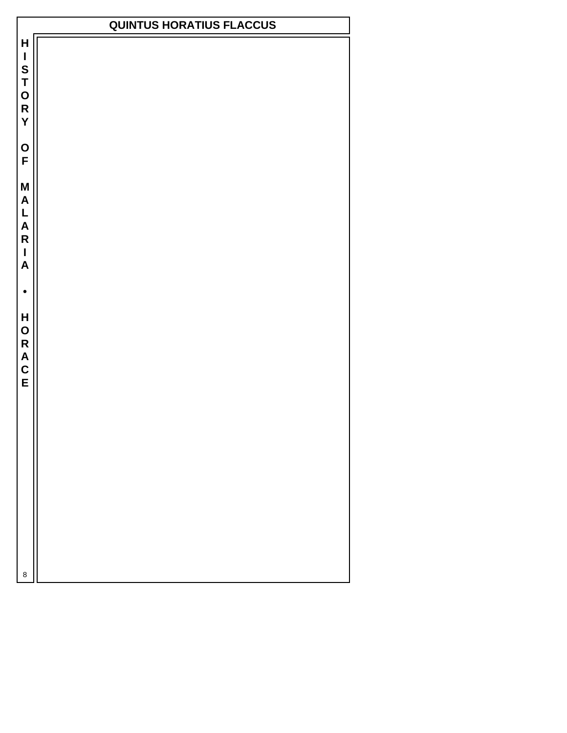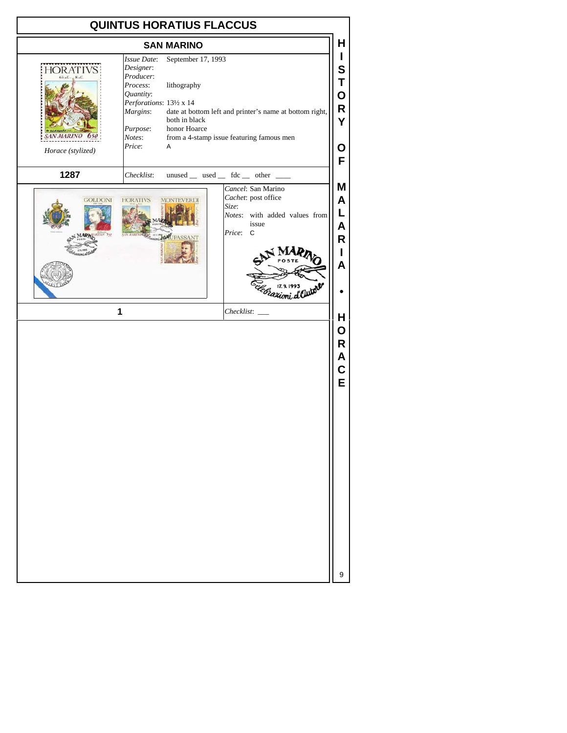| н<br><b>SAN MARINO</b><br>L<br>September 17, 1993<br>Issue Date:<br>Designer:<br>S<br>Producer:<br>Τ<br>Process:<br>lithography<br>Quantity:<br>O<br>Perforations: 131/2 x 14<br>R<br>Margins:<br>date at bottom left and printer's name at bottom right,<br>both in black<br>Y<br>Purpose:<br>honor Hoarce<br>Notes:<br>from a 4-stamp issue featuring famous men<br>Price:<br>Α<br>Ο<br>Horace (stylized)<br>F<br>1287<br>Checklist:<br>$unused$ __ used __ fdc __ other __<br>Μ<br>Cancel: San Marino<br>Cachet: post office<br>A<br><b>HORATIVS</b><br><b>GOLDONI</b><br><b>TEVERDI</b><br>Size:<br>L<br>Notes: with added values from<br>issue<br>Α<br>Price: C<br>540<br>R<br>L<br>A<br><sup>i</sup> azioni d<br>1<br>н<br>О<br>R<br>A<br>C<br>E | <b>QUINTUS HORATIUS FLACCUS</b> |  |  |  |  |
|--------------------------------------------------------------------------------------------------------------------------------------------------------------------------------------------------------------------------------------------------------------------------------------------------------------------------------------------------------------------------------------------------------------------------------------------------------------------------------------------------------------------------------------------------------------------------------------------------------------------------------------------------------------------------------------------------------------------------------------------------------|---------------------------------|--|--|--|--|
|                                                                                                                                                                                                                                                                                                                                                                                                                                                                                                                                                                                                                                                                                                                                                        |                                 |  |  |  |  |
|                                                                                                                                                                                                                                                                                                                                                                                                                                                                                                                                                                                                                                                                                                                                                        |                                 |  |  |  |  |
|                                                                                                                                                                                                                                                                                                                                                                                                                                                                                                                                                                                                                                                                                                                                                        |                                 |  |  |  |  |
|                                                                                                                                                                                                                                                                                                                                                                                                                                                                                                                                                                                                                                                                                                                                                        |                                 |  |  |  |  |